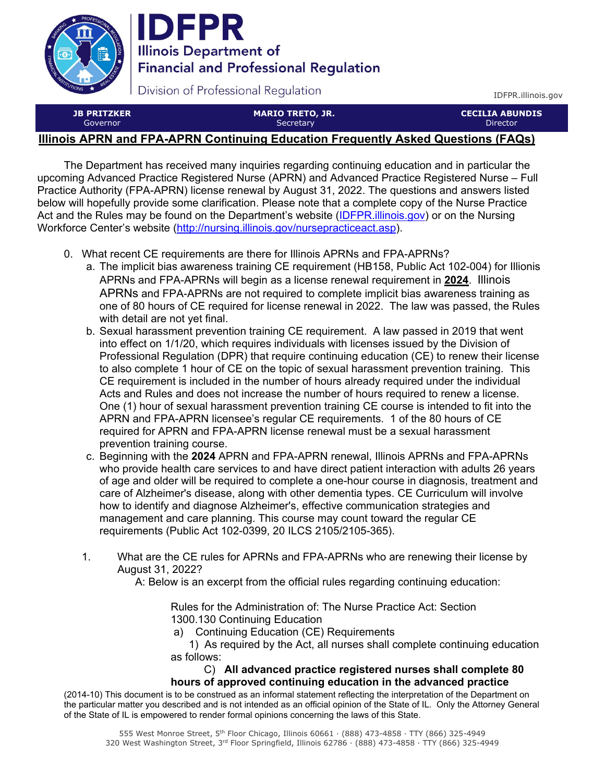

**IDFPR Illinois Department of Financial and Professional Regulation** 

Division of Professional Regulation

IDFPR.illinois.gov

**JB PRITZKER**  Governor

**MARIO TRETO, JR. Secretary** 

**CECILIA ABUNDIS**  Director

## **Illinois APRN and FPA-APRN Continuing Education Frequently Asked Questions (FAQs)**

The Department has received many inquiries regarding continuing education and in particular the upcoming Advanced Practice Registered Nurse (APRN) and Advanced Practice Registered Nurse – Full Practice Authority (FPA-APRN) license renewal by August 31, 2022. The questions and answers listed below will hopefully provide some clarification. Please note that a complete copy of the Nurse Practice Act and the Rules may be found on the Department's website [\(IDFPR.illinois.gov\)](https://IDFPR.illinois.gov) or on the Nursing Workforce Center's website (http://nursing.illinois.gov/nursepracticeact.asp).

- 0. What recent CE requirements are there for Illinois APRNs and FPA-APRNs?
	- a. The implicit bias awareness training CE requirement (HB158, Public Act 102-004) for Illionis APRNs and FPA-APRNs will begin as a license renewal requirement in **2024**. Illinois APRNs and FPA-APRNs are not required to complete implicit bias awareness training as one of 80 hours of CE required for license renewal in 2022. The law was passed, the Rules with detail are not yet final.
	- b. Sexual harassment prevention training CE requirement. A law passed in 2019 that went into effect on 1/1/20, which requires individuals with licenses issued by the Division of Professional Regulation (DPR) that require continuing education (CE) to renew their license to also complete 1 hour of CE on the topic of sexual harassment prevention training. This CE requirement is included in the number of hours already required under the individual Acts and Rules and does not increase the number of hours required to renew a license. One (1) hour of sexual harassment prevention training CE course is intended to fit into the APRN and FPA-APRN licensee's regular CE requirements. 1 of the 80 hours of CE required for APRN and FPA-APRN license renewal must be a sexual harassment prevention training course.
	- c. Beginning with the **2024** APRN and FPA-APRN renewal, Illinois APRNs and FPA-APRNs who provide health care services to and have direct patient interaction with adults 26 years of age and older will be required to complete a one-hour course in diagnosis, treatment and care of Alzheimer's disease, along with other dementia types. CE Curriculum will involve how to identify and diagnose Alzheimer's, effective communication strategies and management and care planning. This course may count toward the regular CE requirements (Public Act 102-0399, 20 ILCS 2105/2105-365).
	- 1. What are the CE rules for APRNs and FPA-APRNs who are renewing their license by August 31, 2022?
		- A: Below is an excerpt from the official rules regarding continuing education:

Rules for the Administration of: The Nurse Practice Act: Section 1300.130 Continuing Education

- a) Continuing Education (CE) Requirements
- 1) As required by the Act, all nurses shall complete continuing education as follows:

## C) **All advanced practice registered nurses shall complete 80 hours of approved continuing education in the advanced practice**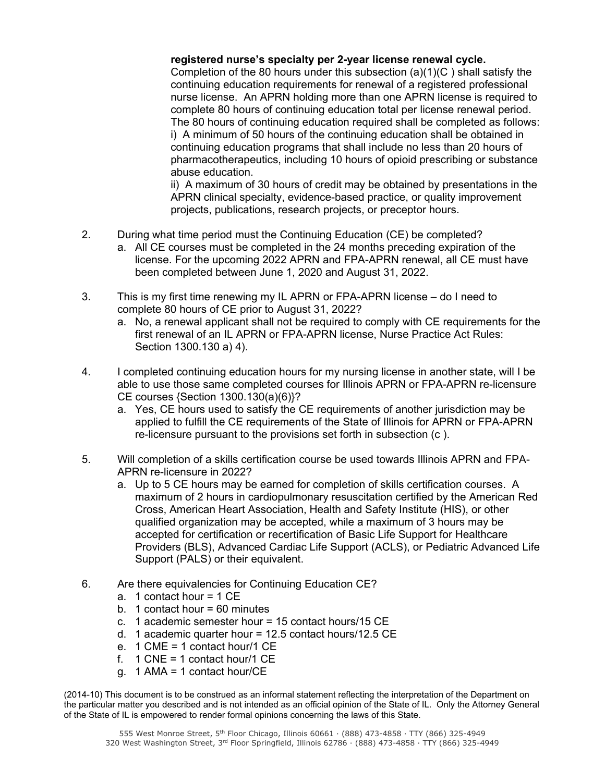## **registered nurse's specialty per 2-year license renewal cycle.**

Completion of the 80 hours under this subsection (a)(1)(C ) shall satisfy the continuing education requirements for renewal of a registered professional nurse license. An APRN holding more than one APRN license is required to complete 80 hours of continuing education total per license renewal period. The 80 hours of continuing education required shall be completed as follows: i) A minimum of 50 hours of the continuing education shall be obtained in continuing education programs that shall include no less than 20 hours of pharmacotherapeutics, including 10 hours of opioid prescribing or substance abuse education.

ii) A maximum of 30 hours of credit may be obtained by presentations in the APRN clinical specialty, evidence-based practice, or quality improvement projects, publications, research projects, or preceptor hours.

- 2. During what time period must the Continuing Education (CE) be completed?
	- a. All CE courses must be completed in the 24 months preceding expiration of the license. For the upcoming 2022 APRN and FPA-APRN renewal, all CE must have been completed between June 1, 2020 and August 31, 2022.
- 3. This is my first time renewing my IL APRN or FPA-APRN license do I need to complete 80 hours of CE prior to August 31, 2022?
	- a. No, a renewal applicant shall not be required to comply with CE requirements for the first renewal of an IL APRN or FPA-APRN license, Nurse Practice Act Rules: Section 1300.130 a) 4).
- 4. I completed continuing education hours for my nursing license in another state, will I be able to use those same completed courses for Illinois APRN or FPA-APRN re-licensure CE courses {Section 1300.130(a)(6)}?
	- a. Yes, CE hours used to satisfy the CE requirements of another jurisdiction may be applied to fulfill the CE requirements of the State of Illinois for APRN or FPA-APRN re-licensure pursuant to the provisions set forth in subsection (c ).
- 5. Will completion of a skills certification course be used towards Illinois APRN and FPA-APRN re-licensure in 2022?
	- a. Up to 5 CE hours may be earned for completion of skills certification courses. A maximum of 2 hours in cardiopulmonary resuscitation certified by the American Red Cross, American Heart Association, Health and Safety Institute (HIS), or other qualified organization may be accepted, while a maximum of 3 hours may be accepted for certification or recertification of Basic Life Support for Healthcare Providers (BLS), Advanced Cardiac Life Support (ACLS), or Pediatric Advanced Life Support (PALS) or their equivalent.
- 6. Are there equivalencies for Continuing Education CE?
	- a. 1 contact hour = 1 CE
	- b. 1 contact hour  $= 60$  minutes
	- c. 1 academic semester hour = 15 contact hours/15 CE
	- d. 1 academic quarter hour = 12.5 contact hours/12.5 CE
	- e. 1 CME = 1 contact hour/1 CE
	- f.  $1$  CNE = 1 contact hour/1 CE
	- g. 1 AMA = 1 contact hour/CE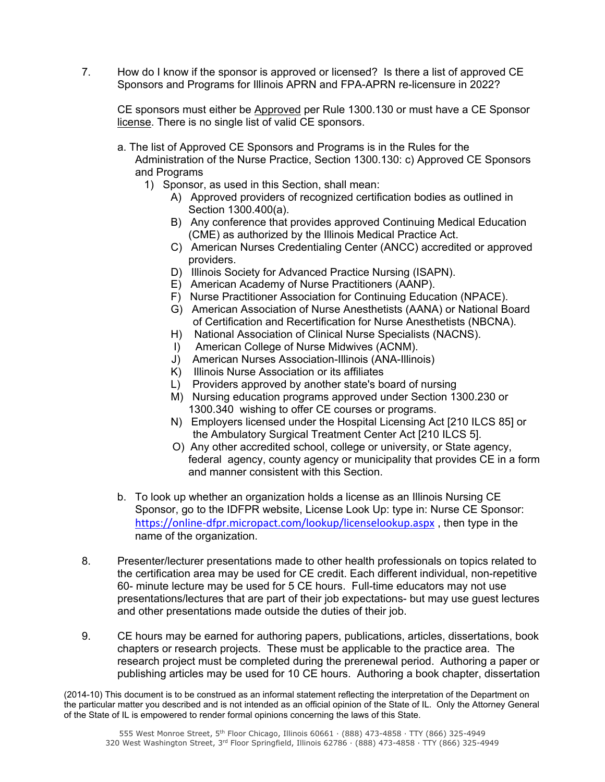7. How do I know if the sponsor is approved or licensed? Is there a list of approved CE Sponsors and Programs for Illinois APRN and FPA-APRN re-licensure in 2022?

CE sponsors must either be Approved per Rule 1300.130 or must have a CE Sponsor license. There is no single list of valid CE sponsors.

- a. The list of Approved CE Sponsors and Programs is in the Rules for the Administration of the Nurse Practice, Section 1300.130: c) Approved CE Sponsors and Programs
	- 1) Sponsor, as used in this Section, shall mean:
		- A) Approved providers of recognized certification bodies as outlined in Section 1300.400(a).
		- B) Any conference that provides approved Continuing Medical Education (CME) as authorized by the Illinois Medical Practice Act.
		- C) American Nurses Credentialing Center (ANCC) accredited or approved providers.
		- D) Illinois Society for Advanced Practice Nursing (ISAPN).
		- E) American Academy of Nurse Practitioners (AANP).
		- F) Nurse Practitioner Association for Continuing Education (NPACE).
		- G) American Association of Nurse Anesthetists (AANA) or National Board of Certification and Recertification for Nurse Anesthetists (NBCNA).
		- H) National Association of Clinical Nurse Specialists (NACNS).
		- I) American College of Nurse Midwives (ACNM).
		- J) American Nurses Association-Illinois (ANA-Illinois)
		- K) Illinois Nurse Association or its affiliates
		- L) Providers approved by another state's board of nursing
		- M) Nursing education programs approved under Section 1300.230 or 1300.340 wishing to offer CE courses or programs.
		- N) Employers licensed under the Hospital Licensing Act [210 ILCS 85] or the Ambulatory Surgical Treatment Center Act [210 ILCS 5].
		- O) Any other accredited school, college or university, or State agency, federal agency, county agency or municipality that provides CE in a form and manner consistent with this Section.
- b. To look up whether an organization holds a license as an Illinois Nursing CE Sponsor, go to the IDFPR website, License Look Up: type in: Nurse CE Sponsor: https://online-dfpr.micropact.com/lookup/licenselookup.aspx, then type in the name of the organization.
- 8. Presenter/lecturer presentations made to other health professionals on topics related to the certification area may be used for CE credit. Each different individual, non-repetitive 60- minute lecture may be used for 5 CE hours. Full-time educators may not use presentations/lectures that are part of their job expectations- but may use guest lectures and other presentations made outside the duties of their job.
- 9. CE hours may be earned for authoring papers, publications, articles, dissertations, book chapters or research projects. These must be applicable to the practice area. The research project must be completed during the prerenewal period. Authoring a paper or publishing articles may be used for 10 CE hours. Authoring a book chapter, dissertation